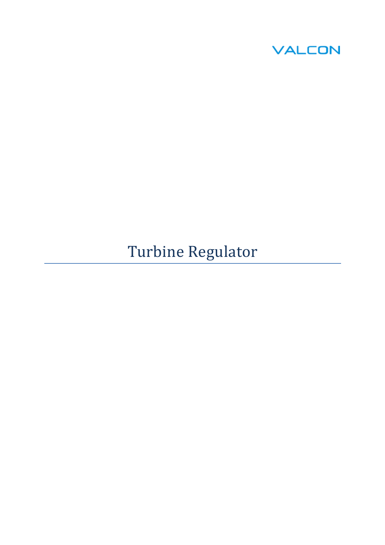

# Turbine Regulator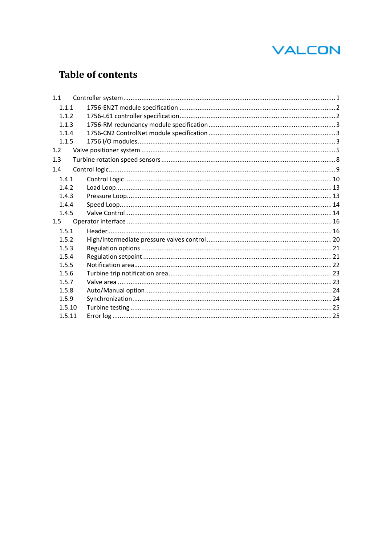## **Table of contents**

| 1.1    |  |
|--------|--|
| 1.1.1  |  |
| 1.1.2  |  |
| 1.1.3  |  |
| 1.1.4  |  |
| 1.1.5  |  |
| 1.2    |  |
| 1.3    |  |
| 1.4    |  |
| 1.4.1  |  |
| 1.4.2  |  |
| 1.4.3  |  |
| 1.4.4  |  |
| 1.4.5  |  |
| 1.5    |  |
| 1.5.1  |  |
| 1.5.2  |  |
| 1.5.3  |  |
| 1.5.4  |  |
| 1.5.5  |  |
| 1.5.6  |  |
| 1.5.7  |  |
| 1.5.8  |  |
| 1.5.9  |  |
| 1.5.10 |  |
| 1.5.11 |  |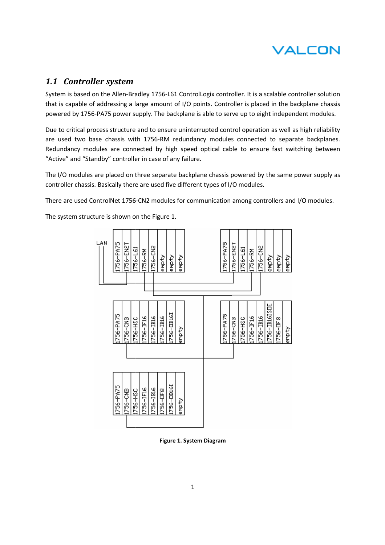

## *1.1 Controller system*

System is based on the Allen-Bradley 1756-L61 ControlLogix controller. It is a scalable controller solution that is capable of addressing a large amount of I/O points. Controller is placed in the backplane chassis powered by 1756-PA75 power supply. The backplane is able to serve up to eight independent modules.

powered by 1756-PA75 power supply. The backplane is able to serve up to eight independent modules.<br>Due to critical process structure and to ensure uninterrupted control operation as well as high reliability are used two base chassis with 1756-RM redundancy modules connected to separate backplanes. Redundancy modules are connected by high speed optical cable to ensure fast switching between "Active" and "Standby" controller in case of any failure.

The I/O modules are placed on three separate backplane chassis powered by the same power supply as The I/O modules are placed on three separate backplane chassis powered by<br>controller chassis. Basically there are used five different types of I/O modules. The I/O modules are placed on three separate backplane chassis powered by the same power supply as<br>controller chassis. Basically there are used five different types of I/O modules.<br>There are used ControlNet 1756-CN2 module

The system structure is shown on the Figure 1.



**Figure 1. System Diagram**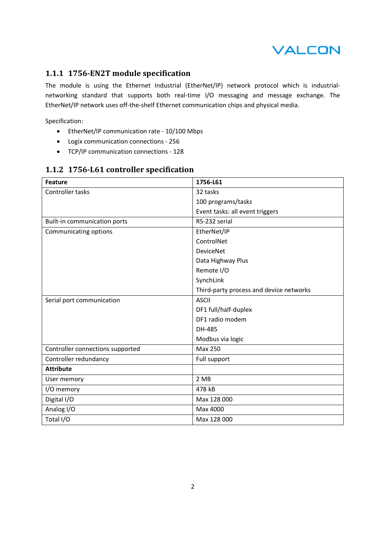

## **1.1.1 1756-EN2T module specification**

The module is using the Ethernet Industrial (EtherNet/IP) network protocol which is industrialnetworking standard that supports both real-time I/O messaging and message exchange. The EtherNet/IP network uses off-the-shelf Ethernet communication chips and physical media.

Specification:

- EtherNet/IP communication rate 10/100 Mbps
- Logix communication connections 256
- TCP/IP communication connections 128

| Feature                          | 1756-L61                                |  |  |
|----------------------------------|-----------------------------------------|--|--|
| Controller tasks                 | 32 tasks                                |  |  |
|                                  | 100 programs/tasks                      |  |  |
|                                  | Event tasks: all event triggers         |  |  |
| Built-in communication ports     | RS-232 serial                           |  |  |
| Communicating options            | EtherNet/IP                             |  |  |
|                                  | ControlNet                              |  |  |
|                                  | <b>DeviceNet</b>                        |  |  |
|                                  | Data Highway Plus                       |  |  |
|                                  | Remote I/O                              |  |  |
|                                  | SynchLink                               |  |  |
|                                  | Third-party process and device networks |  |  |
| Serial port communication        | <b>ASCII</b>                            |  |  |
|                                  | DF1 full/half-duplex                    |  |  |
|                                  | DF1 radio modem                         |  |  |
|                                  | DH-485                                  |  |  |
|                                  | Modbus via logic                        |  |  |
| Controller connections supported | <b>Max 250</b>                          |  |  |
| Controller redundancy            | Full support                            |  |  |
| <b>Attribute</b>                 |                                         |  |  |
| User memory                      | 2 MB                                    |  |  |
| I/O memory                       | 478 kB                                  |  |  |
| Digital I/O                      | Max 128 000                             |  |  |
| Analog I/O                       | Max 4000                                |  |  |
| Total I/O                        | Max 128 000                             |  |  |

## **1.1.2 1756-L61 controller specification**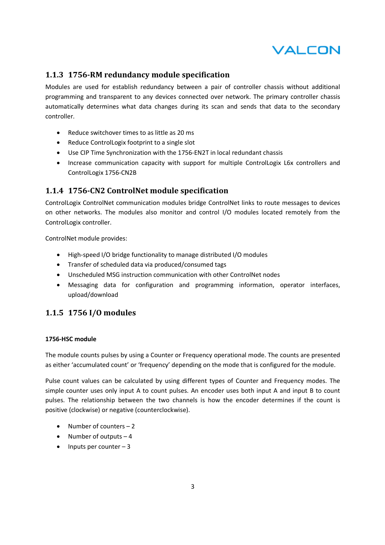

## **1.1.3 1756-RM redundancy module specification**

Modules are used for establish redundancy between a pair of controller chassis without additional programming and transparent to any devices connected over network. The primary controller chassis automatically determines what data changes during its scan and sends that data to the secondary controller.

- Reduce switchover times to as little as 20 ms
- Reduce ControlLogix footprint to a single slot
- Use CIP Time Synchronization with the 1756-EN2T in local redundant chassis
- Increase communication capacity with support for multiple ControlLogix L6x controllers and ControlLogix 1756-CN2B

## **1.1.4 1756-CN2 ControlNet module specification**

ControlLogix ControlNet communication modules bridge ControlNet links to route messages to devices on other networks. The modules also monitor and control I/O modules located remotely from the ControlLogix controller.

ControlNet module provides:

- High-speed I/O bridge functionality to manage distributed I/O modules
- Transfer of scheduled data via produced/consumed tags
- Unscheduled MSG instruction communication with other ControlNet nodes
- Messaging data for configuration and programming information, operator interfaces, upload/download

## **1.1.5 1756 I/O modules**

#### **1756-HSC module**

The module counts pulses by using a Counter or Frequency operational mode. The counts are presented as either 'accumulated count' or 'frequency' depending on the mode that is configured for the module.

Pulse count values can be calculated by using different types of Counter and Frequency modes. The simple counter uses only input A to count pulses. An encoder uses both input A and input B to count pulses. The relationship between the two channels is how the encoder determines if the count is positive (clockwise) or negative (counterclockwise).

- Number of counters 2
- Number of outputs  $-4$
- $\bullet$  Inputs per counter  $-3$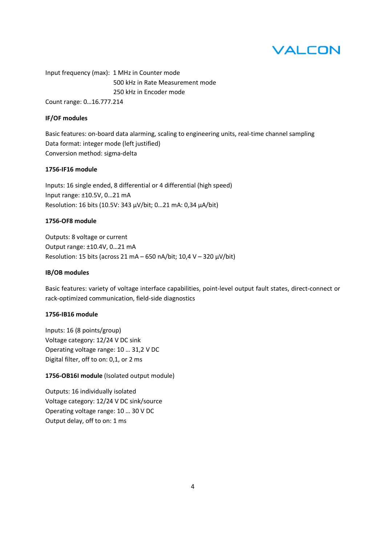Input frequency (max): 1 MHz in Counter mode 500 kHz in Rate Measurement mode 250 kHz in Encoder mode Count range: 0…16.777.214

#### **IF/OF modules**

Basic features: on-board data alarming, scaling to engineering units, real-time channel sampling Data format: integer mode (left justified) Conversion method: sigma-delta

#### **1756-IF16 module**

Inputs: 16 single ended, 8 differential or 4 differential (high speed) Input range: ±10.5V, 0…21 mA Resolution: 16 bits (10.5V: 343 µV/bit; 0…21 mA: 0,34 µA/bit)

#### **1756-OF8 module**

Outputs: 8 voltage or current Output range: ±10.4V, 0…21 mA Resolution: 15 bits (across 21 mA – 650 nA/bit; 10,4 V – 320  $\mu$ V/bit)

#### **IB/OB modules**

Basic features: variety of voltage interface capabilities, point-level output fault states, direct-connect or rack-optimized communication, field-side diagnostics

## **1756-IB16 module**

Inputs: 16 (8 points/group) Voltage category: 12/24 V DC sink Operating voltage range: 10 … 31,2 V DC Digital filter, off to on: 0,1, or 2 ms

## **1756-OB16I module** (Isolated output module)

Outputs: 16 individually isolated Voltage category: 12/24 V DC sink/source Operating voltage range: 10 … 30 V DC Output delay, off to on: 1 ms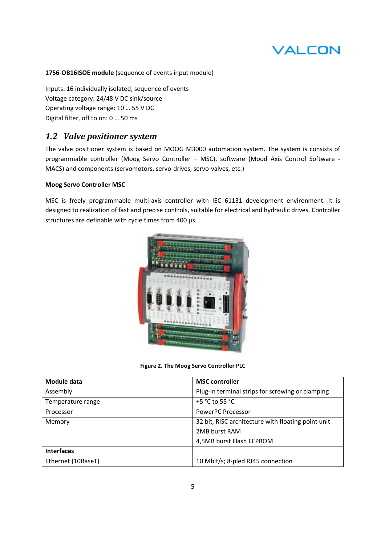## **1756-OB16ISOE module** (sequence of events input module)

Inputs: 16 individually isolated, sequence of events Voltage category: 24/48 V DC sink/source Operating voltage range: 10 … 55 V DC Digital filter, off to on: 0 … 50 ms

## *1.2 Valve positioner system*

The valve positioner system is based on MOOG M3000 automation system. The system is consists of programmable controller (Moog Servo Controller – MSC), software (Mood Axis Control Software - MACS) and components (servomotors, servo-drives, servo-valves, etc.)

## **Moog Servo Controller MSC**

MSC is freely programmable multi-axis controller with IEC 61131 development environment. It is designed to realization of fast and precise controls, suitable for electrical and hydraulic drives. Controller structures are definable with cycle times from 400 µs.



**Figure 2. The Moog Servo Controller PLC** 

| Module data        | <b>MSC</b> controller                              |  |  |
|--------------------|----------------------------------------------------|--|--|
| Assembly           | Plug-in terminal strips for screwing or clamping   |  |  |
| Temperature range  | +5 $^{\circ}$ C to 55 $^{\circ}$ C                 |  |  |
| Processor          | PowerPC Processor                                  |  |  |
| Memory             | 32 bit, RISC architecture with floating point unit |  |  |
|                    | 2MB burst RAM                                      |  |  |
|                    | 4,5MB burst Flash EEPROM                           |  |  |
| <b>Interfaces</b>  |                                                    |  |  |
| Ethernet (10BaseT) | 10 Mbit/s; 8-pled RJ45 connection                  |  |  |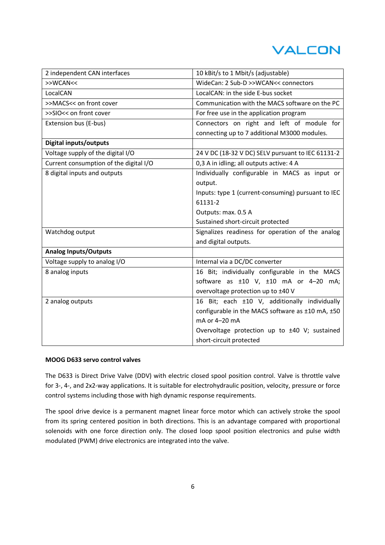| 2 independent CAN interfaces           | 10 kBit/s to 1 Mbit/s (adjustable)                 |  |  |  |
|----------------------------------------|----------------------------------------------------|--|--|--|
| >>WCAN<<                               | WideCan: 2 Sub-D >>WCAN<< connectors               |  |  |  |
| LocalCAN                               | LocalCAN: in the side E-bus socket                 |  |  |  |
| >>MACS<< on front cover                | Communication with the MACS software on the PC     |  |  |  |
| >>SIO<< on front cover                 | For free use in the application program            |  |  |  |
| Extension bus (E-bus)                  | Connectors on right and left of module for         |  |  |  |
|                                        | connecting up to 7 additional M3000 modules.       |  |  |  |
| <b>Digital inputs/outputs</b>          |                                                    |  |  |  |
| Voltage supply of the digital I/O      | 24 V DC (18-32 V DC) SELV pursuant to IEC 61131-2  |  |  |  |
| Current consumption of the digital I/O | 0,3 A in idling; all outputs active: 4 A           |  |  |  |
| 8 digital inputs and outputs           | Individually configurable in MACS as input or      |  |  |  |
|                                        | output.                                            |  |  |  |
|                                        | Inputs: type 1 (current-consuming) pursuant to IEC |  |  |  |
|                                        | 61131-2                                            |  |  |  |
|                                        | Outputs: max. 0.5 A                                |  |  |  |
|                                        | Sustained short-circuit protected                  |  |  |  |
| Watchdog output                        | Signalizes readiness for operation of the analog   |  |  |  |
|                                        | and digital outputs.                               |  |  |  |
| <b>Analog Inputs/Outputs</b>           |                                                    |  |  |  |
| Voltage supply to analog I/O           | Internal via a DC/DC converter                     |  |  |  |
| 8 analog inputs                        | 16 Bit; individually configurable in the MACS      |  |  |  |
|                                        | software as ±10 V, ±10 mA or 4-20 mA;              |  |  |  |
|                                        | overvoltage protection up to ±40 V                 |  |  |  |
| 2 analog outputs                       | 16 Bit; each ±10 V, additionally individually      |  |  |  |
|                                        | configurable in the MACS software as ±10 mA, ±50   |  |  |  |
|                                        | mA or 4-20 mA                                      |  |  |  |
|                                        | Overvoltage protection up to ±40 V; sustained      |  |  |  |
|                                        | short-circuit protected                            |  |  |  |

#### **MOOG D633 servo control valves**

The D633 is Direct Drive Valve (DDV) with electric closed spool position control. Valve is throttle valve for 3-, 4-, and 2x2-way applications. It is suitable for electrohydraulic position, velocity, pressure or force control systems including those with high dynamic response requirements.

The spool drive device is a permanent magnet linear force motor which can actively stroke the spool from its spring centered position in both directions. This is an advantage compared with proportional solenoids with one force direction only. The closed loop spool position electronics and pulse width modulated (PWM) drive electronics are integrated into the valve.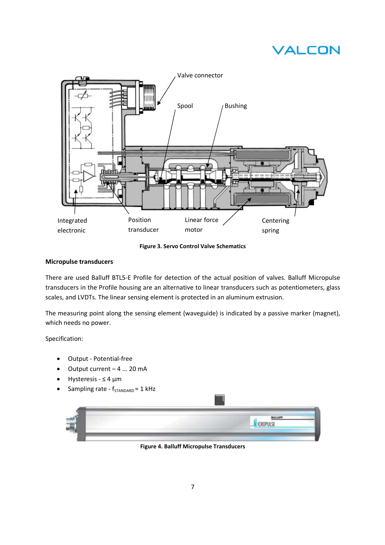

**Figure 3. Servo Control Valve Schematics** 

## **Micropulse transducers**

There are used Balluff BTL5-E Profile for detection of the actual position of valves. Balluff Micropulse transducers in the Profile housing are an alternative to linear transducers such as potentiometers, glass scales, and LVDTs. The linear sensing element is protected in an aluminum extrusion.

The measuring point along the sensing element (waveguide) is indicated by a passive marker (magnet), which needs no power.

Specification:

- Output Potential-free
- Output current 4 ... 20 mA
- Hysteresis ≤ 4 µm
- Sampling rate  $f_{STANDARD} = 1$  kHz

| And the control                                                                                                                                                                                                                      |
|--------------------------------------------------------------------------------------------------------------------------------------------------------------------------------------------------------------------------------------|
| <u>The property of the contract of the contract of the contract of the contract of the contract of the contract of the contract of the contract of the contract of the contract of the contract of the contract of the contract </u> |

 $\frac{1}{2}$ 

**Figure 4. Balluff Micropulse Transducers**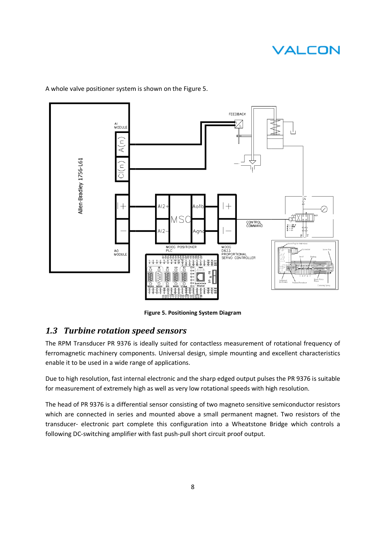

A whole valve positioner system is shown on the Figure 5.

**Figure 5. Positioning System Diagram** 

## *1.3 Turbine rotation speed sensors sensors*

The RPM Transducer PR 9376 is ideally suited for contactless measurement of rotational frequency of The RPM Transducer PR 9376 is ideally suited for contactless measurement of rotational frequency of<br>ferromagnetic machinery components. Universal design, simple mounting and excellent characteristics enable it to be used in a wide range of applications. ducer PR 9376 is ideally suited for contactless measurement of rotational<br>machinery components. Universal design, simple mounting and excellent c<br>used in a wide range of applications.<br>olution, fast internal electronic and

Due to high resolution, fast internal electronic and the sharp edged output pulses the PR 9376 is suitable for measurement of extremely high as well as very low rotational speeds with high resolution. Due to high resolution, fast internal electronic and the sharp edged output pulses the PR 9376 is suitable<br>for measurement of extremely high as well as very low rotational speeds with high resolution.<br>The head of PR 9376 i

which are connected in series and mounted above a small permanent magnet. Two resistors of the transducer- electronic part complete this configuration into a Wheatstone Bridge which controls a following DC-switching amplifier with fast push-pull short circuit proof output. in series and mounted above a small permanent mag<br>part complete this configuration into a Wheatstone<br>q amplifier with fast push-pull short circuit proof output.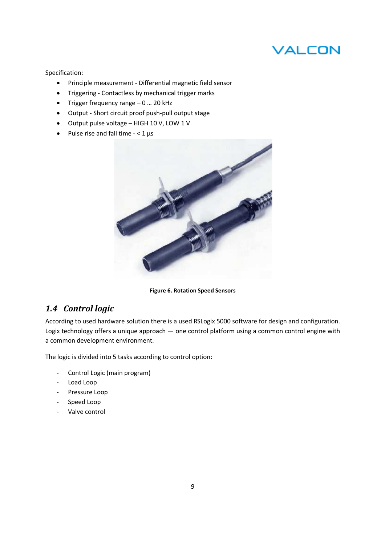Specification:

- Principle measurement Differential magnetic field sensor
- Triggering Contactless by mechanical trigger marks
- Trigger frequency range 0 … 20 kHz
- Output Short circuit proof push-pull output stage
- Output pulse voltage HIGH 10 V, LOW 1 V
- Pulse rise and fall time  $< 1 \,\mu s$



**Figure 6. Rotation Speed Sensors** 

## *1.4 Control logic*

According to used hardware solution there is a used RSLogix 5000 software for design and configuration. Logix technology offers a unique approach — one control platform using a common control engine with a common development environment.

The logic is divided into 5 tasks according to control option:

- Control Logic (main program)
- Load Loop
- Pressure Loop
- Speed Loop
- Valve control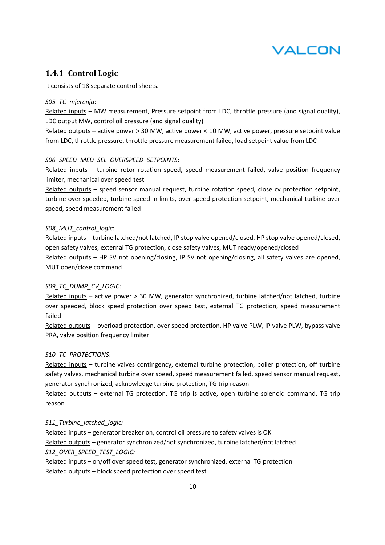## **1.4.1 Control Logic**

It consists of 18 separate control sheets.

## *S05\_TC\_mjerenja*:

Related inputs – MW measurement, Pressure setpoint from LDC, throttle pressure (and signal quality), LDC output MW, control oil pressure (and signal quality)

Related outputs – active power > 30 MW, active power < 10 MW, active power, pressure setpoint value from LDC, throttle pressure, throttle pressure measurement failed, load setpoint value from LDC

## *S06\_SPEED\_MED\_SEL\_OVERSPEED\_SETPOINTS*:

Related inputs - turbine rotor rotation speed, speed measurement failed, valve position frequency limiter, mechanical over speed test

Related outputs – speed sensor manual request, turbine rotation speed, close cv protection setpoint, turbine over speeded, turbine speed in limits, over speed protection setpoint, mechanical turbine over speed, speed measurement failed

## *S08\_MUT\_control\_logic*:

Related inputs – turbine latched/not latched, IP stop valve opened/closed, HP stop valve opened/closed, open safety valves, external TG protection, close safety valves, MUT ready/opened/closed Related outputs – HP SV not opening/closing, IP SV not opening/closing, all safety valves are opened, MUT open/close command

## *S09\_TC\_DUMP\_CV\_LOGIC*:

Related inputs – active power > 30 MW, generator synchronized, turbine latched/not latched, turbine over speeded, block speed protection over speed test, external TG protection, speed measurement failed

Related outputs – overload protection, over speed protection, HP valve PLW, IP valve PLW, bypass valve PRA, valve position frequency limiter

## *S10\_TC\_PROTECTIONS*:

Related inputs – turbine valves contingency, external turbine protection, boiler protection, off turbine safety valves, mechanical turbine over speed, speed measurement failed, speed sensor manual request, generator synchronized, acknowledge turbine protection, TG trip reason

Related outputs – external TG protection, TG trip is active, open turbine solenoid command, TG trip reason

## *S11\_Turbine\_latched\_logic:*

Related inputs – generator breaker on, control oil pressure to safety valves is OK Related outputs – generator synchronized/not synchronized, turbine latched/not latched *S12\_OVER\_SPEED\_TEST\_LOGIC:* Related inputs – on/off over speed test, generator synchronized, external TG protection

Related outputs – block speed protection over speed test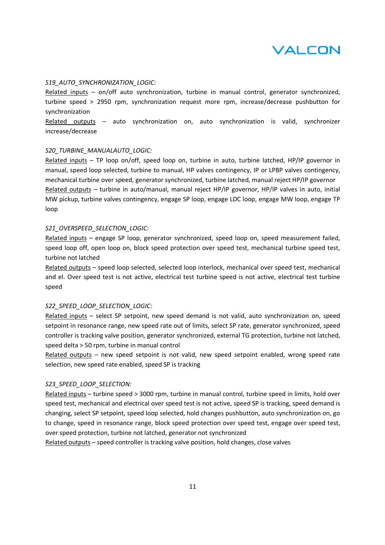

#### *S19\_AUTO\_SYNCHRONIZATION\_LOGIC:*

Related inputs – on/off auto synchronization, turbine in manual control, generator synchronized, turbine speed > 2950 rpm, synchronization request more rpm, increase/decrease pushbutton for synchronization

Related outputs – auto synchronization on, auto synchronization is valid, synchronizer increase/decrease

#### *S20\_TURBINE\_MANUALAUTO\_LOGIC:*

Related inputs – TP loop on/off, speed loop on, turbine in auto, turbine latched, HP/IP governor in manual, speed loop selected, turbine to manual, HP valves contingency, IP or LPBP valves contingency, mechanical turbine over speed, generator synchronized, turbine latched, manual reject HP/IP governor Related outputs – turbine in auto/manual, manual reject HP/IP governor, HP/IP valves in auto, initial MW pickup, turbine valves contingency, engage SP loop, engage LDC loop, engage MW loop, engage TP loop

#### *S21\_OVERSPEED\_SELECTION\_LOGIC:*

Related inputs – engage SP loop, generator synchronized, speed loop on, speed measurement failed, speed loop off, open loop on, block speed protection over speed test, mechanical turbine speed test, turbine not latched

Related outputs – speed loop selected, selected loop interlock, mechanical over speed test, mechanical and el. Over speed test is not active, electrical test turbine speed is not active, electrical test turbine speed

#### *S22\_SPEED\_LOOP\_SELECTION\_LOGIC:*

Related inputs – select SP setpoint, new speed demand is not valid, auto synchronization on, speed setpoint in resonance range, new speed rate out of limits, select SP rate, generator synchronized, speed controller is tracking valve position, generator synchronized, external TG protection, turbine not latched, speed delta > 50 rpm, turbine in manual control

Related outputs – new speed setpoint is not valid, new speed setpoint enabled, wrong speed rate selection, new speed rate enabled, speed SP is tracking

#### *S23\_SPEED\_LOOP\_SELECTION:*

Related inputs – turbine speed > 3000 rpm, turbine in manual control, turbine speed in limits, hold over speed test, mechanical and electrical over speed test is not active, speed SP is tracking, speed demand is changing, select SP setpoint, speed loop selected, hold changes pushbutton, auto synchronization on, go to change, speed in resonance range, block speed protection over speed test, engage over speed test, over speed protection, turbine not latched, generator not synchronized

Related outputs – speed controller is tracking valve position, hold changes, close valves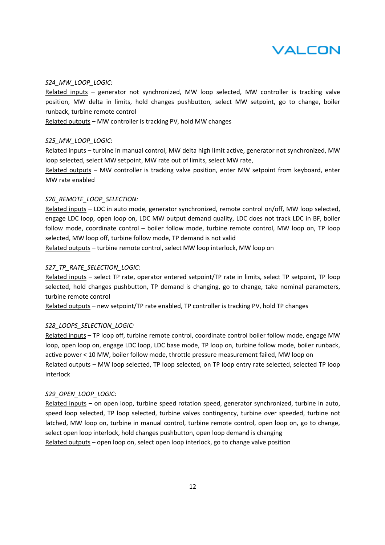

#### *S24\_MW\_LOOP\_LOGIC:*

Related inputs – generator not synchronized, MW loop selected, MW controller is tracking valve position, MW delta in limits, hold changes pushbutton, select MW setpoint, go to change, boiler runback, turbine remote control

Related outputs – MW controller is tracking PV, hold MW changes

#### *S25\_MW\_LOOP\_LOGIC*:

Related inputs – turbine in manual control, MW delta high limit active, generator not synchronized, MW loop selected, select MW setpoint, MW rate out of limits, select MW rate,

Related outputs – MW controller is tracking valve position, enter MW setpoint from keyboard, enter MW rate enabled

## *S26\_REMOTE\_LOOP\_SELECTION:*

Related inputs – LDC in auto mode, generator synchronized, remote control on/off, MW loop selected, engage LDC loop, open loop on, LDC MW output demand quality, LDC does not track LDC in BF, boiler follow mode, coordinate control – boiler follow mode, turbine remote control, MW loop on, TP loop selected, MW loop off, turbine follow mode, TP demand is not valid

Related outputs – turbine remote control, select MW loop interlock, MW loop on

#### *S27\_TP\_RATE\_SELECTION\_LOGIC:*

Related inputs – select TP rate, operator entered setpoint/TP rate in limits, select TP setpoint, TP loop selected, hold changes pushbutton, TP demand is changing, go to change, take nominal parameters, turbine remote control

Related outputs – new setpoint/TP rate enabled, TP controller is tracking PV, hold TP changes

#### *S28\_LOOPS\_SELECTION\_LOGIC:*

Related inputs – TP loop off, turbine remote control, coordinate control boiler follow mode, engage MW loop, open loop on, engage LDC loop, LDC base mode, TP loop on, turbine follow mode, boiler runback, active power < 10 MW, boiler follow mode, throttle pressure measurement failed, MW loop on Related outputs – MW loop selected, TP loop selected, on TP loop entry rate selected, selected TP loop interlock

#### *S29\_OPEN\_LOOP\_LOGIC:*

Related inputs – on open loop, turbine speed rotation speed, generator synchronized, turbine in auto, speed loop selected, TP loop selected, turbine valves contingency, turbine over speeded, turbine not latched, MW loop on, turbine in manual control, turbine remote control, open loop on, go to change, select open loop interlock, hold changes pushbutton, open loop demand is changing Related outputs – open loop on, select open loop interlock, go to change valve position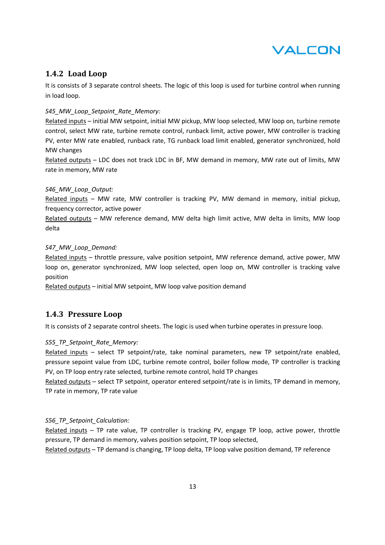

## **1.4.2 Load Loop**

It is consists of 3 separate control sheets. The logic of this loop is used for turbine control when running in load loop.

## *S45\_MW\_Loop\_Setpoint\_Rate\_Memory:*

Related inputs - initial MW setpoint, initial MW pickup, MW loop selected, MW loop on, turbine remote control, select MW rate, turbine remote control, runback limit, active power, MW controller is tracking PV, enter MW rate enabled, runback rate, TG runback load limit enabled, generator synchronized, hold MW changes

Related outputs – LDC does not track LDC in BF, MW demand in memory, MW rate out of limits, MW rate in memory, MW rate

#### *S46\_MW\_Loop\_Output:*

Related inputs – MW rate, MW controller is tracking PV, MW demand in memory, initial pickup, frequency corrector, active power

Related outputs – MW reference demand, MW delta high limit active, MW delta in limits, MW loop delta

#### *S47\_MW\_Loop\_Demand:*

Related inputs – throttle pressure, valve position setpoint, MW reference demand, active power, MW loop on, generator synchronized, MW loop selected, open loop on, MW controller is tracking valve position

Related outputs – initial MW setpoint, MW loop valve position demand

## **1.4.3 Pressure Loop**

It is consists of 2 separate control sheets. The logic is used when turbine operates in pressure loop.

## *S55\_TP\_Setpoint\_Rate\_Memory:*

Related inputs – select TP setpoint/rate, take nominal parameters, new TP setpoint/rate enabled, pressure sepoint value from LDC, turbine remote control, boiler follow mode, TP controller is tracking PV, on TP loop entry rate selected, turbine remote control, hold TP changes

Related outputs – select TP setpoint, operator entered setpoint/rate is in limits, TP demand in memory, TP rate in memory, TP rate value

## *S56\_TP\_Setpoint\_Calculation:*

Related inputs – TP rate value, TP controller is tracking PV, engage TP loop, active power, throttle pressure, TP demand in memory, valves position setpoint, TP loop selected,

Related outputs – TP demand is changing, TP loop delta, TP loop valve position demand, TP reference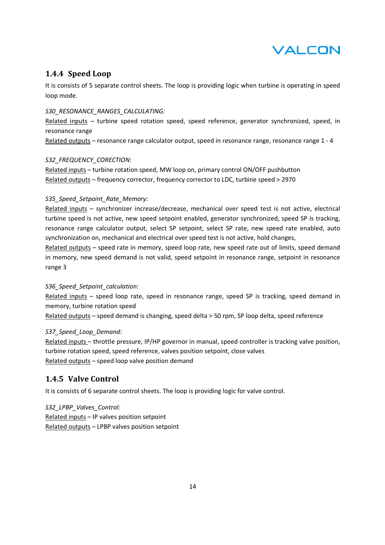

## **1.4.4 Speed Loop**

It is consists of 5 separate control sheets. The loop is providing logic when turbine is operating in speed loop mode.

#### *S30\_RESONANCE\_RANGES\_CALCULATING:*

Related inputs – turbine speed rotation speed, speed reference, generator synchronized, speed, in resonance range

Related outputs – resonance range calculator output, speed in resonance range, resonance range 1 - 4

#### *S32\_FREQUENCY\_CORECTION:*

Related inputs – turbine rotation speed, MW loop on, primary control ON/OFF pushbutton Related outputs – frequency corrector, frequency corrector to LDC, turbine speed > 2970

#### *S35\_Speed\_Setpoint\_Rate\_Memory:*

Related inputs – synchronizer increase/decrease, mechanical over speed test is not active, electrical turbine speed is not active, new speed setpoint enabled, generator synchronized, speed SP is tracking, resonance range calculator output, select SP setpoint, select SP rate, new speed rate enabled, auto synchronization on, mechanical and electrical over speed test is not active, hold changes,

Related outputs – speed rate in memory, speed loop rate, new speed rate out of limits, speed demand in memory, new speed demand is not valid, speed setpoint in resonance range, setpoint in resonance range 3

## *S36\_Speed\_Setpoint\_calculation:*

Related inputs – speed loop rate, speed in resonance range, speed SP is tracking, speed demand in memory, turbine rotation speed

Related outputs – speed demand is changing, speed delta > 50 rpm, SP loop delta, speed reference

## *S37\_Speed\_Loop\_Demand*:

Related inputs – throttle pressure, IP/HP governor in manual, speed controller is tracking valve position, turbine rotation speed, speed reference, valves position setpoint, close valves Related outputs – speed loop valve position demand

## **1.4.5 Valve Control**

It is consists of 6 separate control sheets. The loop is providing logic for valve control.

*S32\_LPBP\_Valves\_Control:*  Related inputs – IP valves position setpoint Related outputs – LPBP valves position setpoint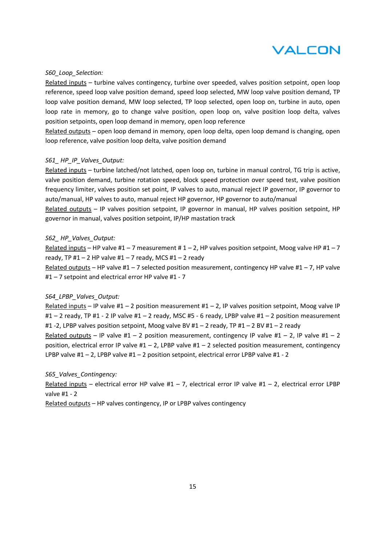

#### *S60\_Loop\_Selection:*

Related inputs – turbine valves contingency, turbine over speeded, valves position setpoint, open loop reference, speed loop valve position demand, speed loop selected, MW loop valve position demand, TP loop valve position demand, MW loop selected, TP loop selected, open loop on, turbine in auto, open loop rate in memory, go to change valve position, open loop on, valve position loop delta, valves position setpoints, open loop demand in memory, open loop reference

Related outputs – open loop demand in memory, open loop delta, open loop demand is changing, open loop reference, valve position loop delta, valve position demand

#### *S61\_ HP\_IP\_Valves\_Output:*

Related inputs – turbine latched/not latched, open loop on, turbine in manual control, TG trip is active, valve position demand, turbine rotation speed, block speed protection over speed test, valve position frequency limiter, valves position set point, IP valves to auto, manual reject IP governor, IP governor to auto/manual, HP valves to auto, manual reject HP governor, HP governor to auto/manual

Related outputs – IP valves position setpoint, IP governor in manual, HP valves position setpoint, HP governor in manual, valves position setpoint, IP/HP mastation track

### *S62\_ HP\_Valves\_Output:*

Related inputs – HP valve  $#1 - 7$  measurement  $#1 - 2$ , HP valves position setpoint, Moog valve HP  $#1 - 7$ ready, TP #1 – 2 HP valve #1 – 7 ready, MCS #1 – 2 ready

Related outputs – HP valve  $#1 - 7$  selected position measurement, contingency HP valve  $#1 - 7$ , HP valve #1 – 7 setpoint and electrical error HP valve #1 - 7

#### *S64\_LPBP\_Valves\_Output:*

Related inputs – IP valve  $#1 - 2$  position measurement  $#1 - 2$ , IP valves position setpoint, Moog valve IP #1 – 2 ready, TP #1 - 2 IP valve #1 – 2 ready, MSC #5 - 6 ready, LPBP valve #1 – 2 position measurement #1 -2, LPBP valves position setpoint, Moog valve BV #1 – 2 ready, TP #1 – 2 BV #1 – 2 ready

Related outputs – IP valve  $#1 - 2$  position measurement, contingency IP valve  $#1 - 2$ , IP valve  $#1 - 2$ position, electrical error IP valve  $#1 - 2$ , LPBP valve  $#1 - 2$  selected position measurement, contingency LPBP valve #1 – 2, LPBP valve #1 – 2 position setpoint, electrical error LPBP valve #1 - 2

#### *S65\_Valves\_Contingency:*

Related inputs – electrical error HP valve #1 – 7, electrical error IP valve #1 – 2, electrical error LPBP valve #1 - 2

Related outputs – HP valves contingency, IP or LPBP valves contingency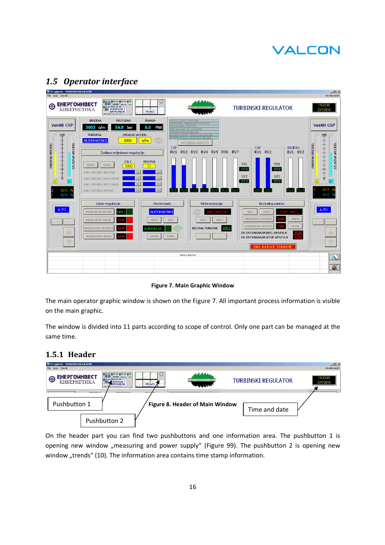| <b>W</b> TE Ugljevik - TURBINSKI REGULATOR<br>File Logic Special                                                                                                                                                                                                                                                                                                                                                                                                                                                                                                                                                                                                                                                                                                                                                                                              | $-10$ $\times$<br>Development!                                                                                                                                                                                                                                                                                                                                                                                                                                                                                                                                                                                                                                                                                                                                                                                                                                                                                                                               |
|---------------------------------------------------------------------------------------------------------------------------------------------------------------------------------------------------------------------------------------------------------------------------------------------------------------------------------------------------------------------------------------------------------------------------------------------------------------------------------------------------------------------------------------------------------------------------------------------------------------------------------------------------------------------------------------------------------------------------------------------------------------------------------------------------------------------------------------------------------------|--------------------------------------------------------------------------------------------------------------------------------------------------------------------------------------------------------------------------------------------------------------------------------------------------------------------------------------------------------------------------------------------------------------------------------------------------------------------------------------------------------------------------------------------------------------------------------------------------------------------------------------------------------------------------------------------------------------------------------------------------------------------------------------------------------------------------------------------------------------------------------------------------------------------------------------------------------------|
| ☉<br><b>Finitio</b><br><b>ЕНЕРГОИНВЕСТ</b><br>€<br><b>MILL MJERENJA I</b><br><b>PISACI</b>                                                                                                                                                                                                                                                                                                                                                                                                                                                                                                                                                                                                                                                                                                                                                                    | 13:43:00<br><b>TURBINSKI REGULATOR</b><br>MK W TEPWOEDEKTPANA YER<br>27/7/2010                                                                                                                                                                                                                                                                                                                                                                                                                                                                                                                                                                                                                                                                                                                                                                                                                                                                               |
| <b>BRZINA</b><br><b>PRITISAK</b><br><b>SNAGA</b><br><b>Ventili CVP</b><br>3002 o/m<br>54.8 bar<br>0.0<br>MW<br><b>TURBINA</b><br>ZADANA VRIJED.<br>$\frac{100}{1}$<br>$\frac{1}{2}$<br><b>AUTOMATSKI</b><br>3000<br>o/m<br>$\overline{\phantom{a}}$<br>IZLAZNA VRIJED.<br>丰丰丰丰<br>ZADANA VRIJED<br>Zadana vrijednost regulacije<br><b>CILJ</b><br><b>BRZINA</b><br><b>KRENI</b><br><b>STANI</b><br>70 <sup>°</sup><br>3000<br><b>OK</b><br><b>OK</b><br>ZAD, VRIJED, BRZINE<br><b>DK</b><br><b>OK</b><br>ZAD, VRIJED, POLOZAJA<br>$\sqrt{2}$<br>Ŧ<br>OK<br>OK<br>ZAD, VRIJED, PRITISKA<br>0K<br>60.5<br><b>OK</b><br>ZAD, VRIJED, SNAGE<br>60.5 9<br>Izbor regulacije<br>Rezim rada<br><b>AUTO</b><br>REGULACIJA BRZINE<br><b>AUTOMATSKI</b><br>REGULACIJA POLOZ<br><b>AUTO</b><br>REGULACIJA PRITISK/<br><b>RADNO ST</b><br>REGULACIJA SNAGE<br><b>START</b> | <b>VENTILI NISI SPREMNI</b><br>KSTERNA TERBINSKA ZASTITA<br><b>Ventili CSP</b><br><b>KOTLOVSKA ZASTITA</b><br><b>SKLJUCENJE SA SISTEMA</b><br>PREKOR AGENJE BRZINE<br><b>NEISPRAYNEST MIERENIA BRZIN</b><br>$\frac{100}{1}$<br><b>NESPRAVINSIESENZURA BRZINI</b><br>主主主主<br>POTVRDA ZASTITA<br>IZLAZNA VRIJED.<br>ZADANA VRIJED<br>CVP<br><b>CSP</b><br><b>BAJPAS</b><br>RV1 RV2<br>RV1<br>RV2 RV3<br>RV4 RV5 RV6 RV7<br>BV1 BV2<br>SV1<br>SV1<br><b>OTV</b><br>OTV<br>SV2<br>SV2<br>$\sqrt{2}$<br>OTV<br><b>OTV</b><br>Ŧ<br>60.5<br>າດ ດ<br>nn<br>100.0<br>m<br>mn<br>60.5 %<br>Sinhronizacija<br>Brzinska zastita<br><b>AUTO</b><br><b>ISKLJ</b><br>UKLJ<br><b>KLJUCE</b><br>TEST ISKLJ<br>MEHANICKA ZASTITA<br><b>KRENI</b><br>UKLJ<br><b>ISKLJ</b><br><b>RUC</b><br>ELEKTRICNA ZASTITA<br><b>STANI</b><br><b>BRZINA TURBINE</b><br>3002<br>ZV ZATVARANJA REG. VENTILA<br><b>STOP</b><br><b>3270</b><br>ZV ZATVARANJA STOP VENTILA<br>ISKI JUCENJE TURBIN |
|                                                                                                                                                                                                                                                                                                                                                                                                                                                                                                                                                                                                                                                                                                                                                                                                                                                               | Nema alarma<br>$\overline{\mathbf{R}}$                                                                                                                                                                                                                                                                                                                                                                                                                                                                                                                                                                                                                                                                                                                                                                                                                                                                                                                       |
|                                                                                                                                                                                                                                                                                                                                                                                                                                                                                                                                                                                                                                                                                                                                                                                                                                                               | $\mathbf{z}$                                                                                                                                                                                                                                                                                                                                                                                                                                                                                                                                                                                                                                                                                                                                                                                                                                                                                                                                                 |

## *1.5 Operator interface*

**Figure 7. Main Graphic Window** 

The main operator graphic window is shown on the Figure 7. All important process information is visible on the main graphic.

The window is divided into 11 parts according to scope of control. Only one part can be managed at the same time.

## **1.5.1 Header**



On the header part you can find two pushbuttons and one information area. The pushbutton 1 is opening new window "measuring and power supply" (Figure 99). The pushbutton 2 is opening new window "trends" (10). The information area contains time stamp information.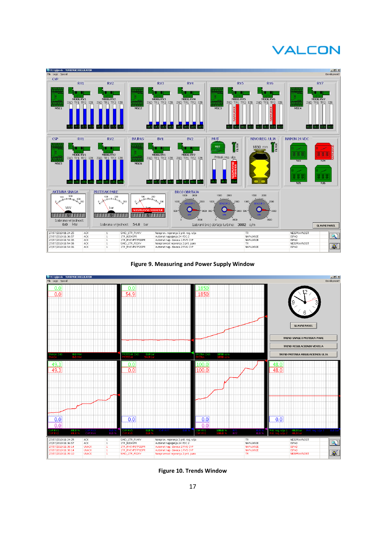

#### **Figure 9. Measuring and Power Supply Window**



**Figure 10. Trends Window**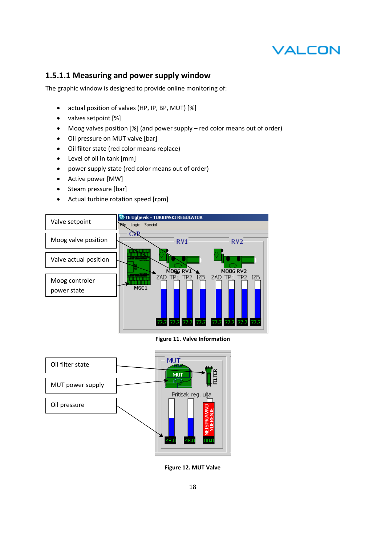## **1.5.1.1 Measuring and power supply window**

The graphic window is designed to provide online monitoring of:

- actual position of valves (HP, IP, BP, MUT) [%]
- valves setpoint [%]
- Moog valves position [%] (and power supply red color means out of order)
- Oil pressure on MUT valve [bar]
- Oil filter state (red color means replace)
- Level of oil in tank [mm]
- power supply state (red color means out of order)
- Active power [MW]
- Steam pressure [bar]
- Actual turbine rotation speed [rpm]



**Figure 11. Valve Information** 



**Figure 12. MUT Valve**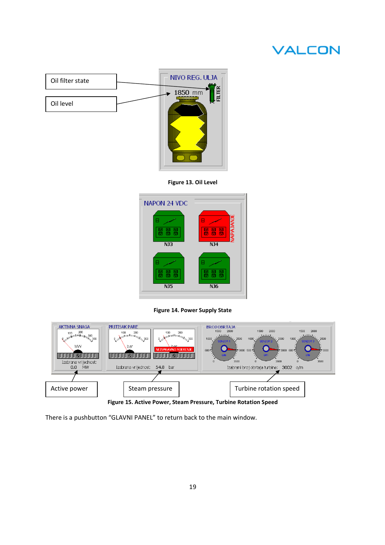

**Figure 13. Oil Level** 



**Figure 14. Power Supply State** 



There is a pushbutton "GLAVNI PANEL" to return back to the main window.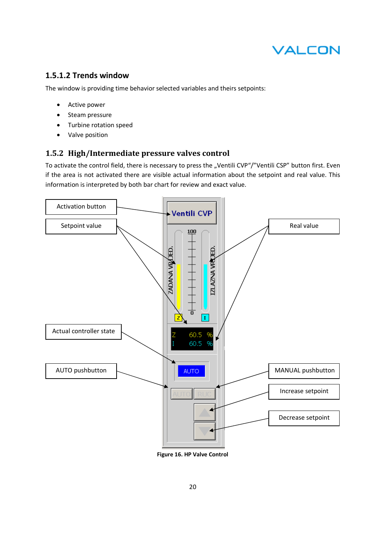

## **1.5.1.2 Trends window**

The window is providing time behavior selected variables and theirs setpoints:

- Active power
- Steam pressure
- Turbine rotation speed
- Valve position

## **1.5.2 High/Intermediate pressure valves control**

To activate the control field, there is necessary to press the "Ventili CVP"/"Ventili CSP" button first. Even if the area is not activated there are visible actual information about the setpoint and real value. This information is interpreted by both bar chart for review and exact value.



**Figure 16. HP Valve Control**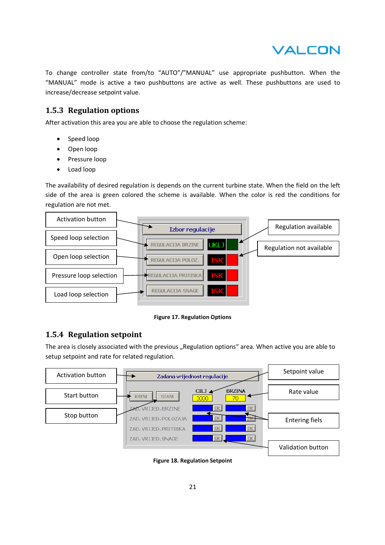

To change controller state from/to "AUTO"/"MANUAL" use appropriate pushbutton. When the "MANUAL" mode is active a two pushbuttons are active as well. These pushbuttons are used to increase/decrease setpoint value.

## **1.5.3 Regulation options**

After activation this area you are able to choose the regulation scheme:

- Speed loop
- Open loop
- Pressure loop
- Load loop

The availability of desired regulation is depends on the current turbine state. When the field on the left side of the area is green colored the scheme is available. When the color is red the conditions for regulation are not met.



**Figure 17. Regulation Options** 

## **1.5.4 Regulation setpoint**

The area is closely associated with the previous "Regulation options" area. When active you are able to setup setpoint and rate for related regulation.



**Figure 18. Regulation Setpoint**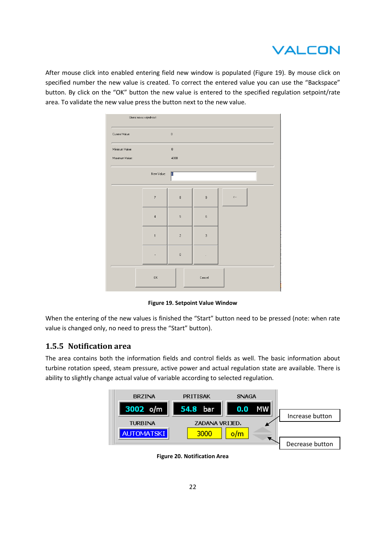

After mouse click into enabled entering field new window is populated (Figure 19). By mouse click on specified number the new value is created. To correct the entered value you can use the "Backspace" button. By click on the "OK" button the new value is entered to the specified regulation setpoint/rate area. To validate the new value press the button next to the new value.



**Figure 19. Setpoint Value Window** 

When the entering of the new values is finished the "Start" button need to be pressed (note: when rate value is changed only, no need to press the "Start" button).

## **1.5.5 Notification area**

The area contains both the information fields and control fields as well. The basic information about turbine rotation speed, steam pressure, active power and actual regulation state are available. There is ability to slightly change actual value of variable according to selected regulation.



**Figure 20. Notification Area**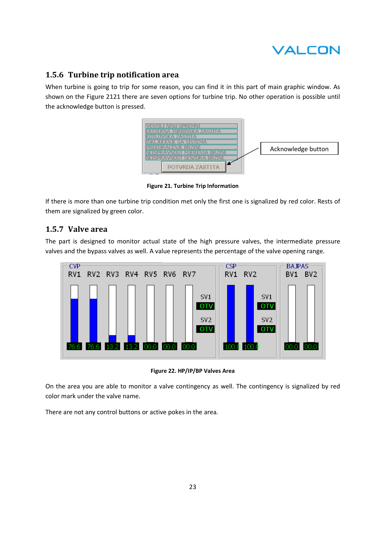

## **1.5.6 Turbine trip notification area**

When turbine is going to trip for some reason, you can find it in this part of main graphic window. As shown on the Figure 2121 there are seven options for turbine trip. No other operation is possible until the acknowledge button is pressed.



**Figure 21. Turbine Trip Information** 

If there is more than one turbine trip condition met only the first one is signalized by red color. Rests of them are signalized by green color.

## **1.5.7 Valve area**

The part is designed to monitor actual state of the high pressure valves, the intermediate pressure valves and the bypass valves as well. A value represents the percentage of the valve opening range.



**Figure 22. HP/IP/BP Valves Area** 

On the area you are able to monitor a valve contingency as well. The contingency is signalized by red color mark under the valve name.

There are not any control buttons or active pokes in the area.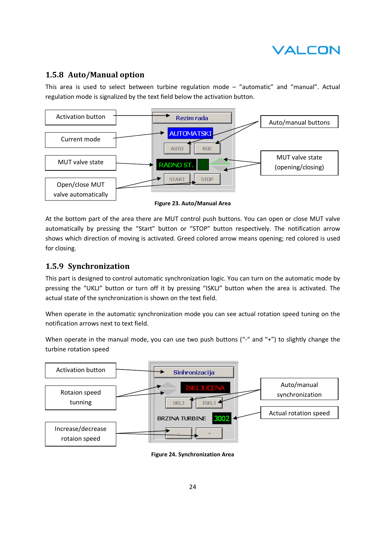## **1.5.8 Auto/Manual option**

This area is used to select between turbine regulation mode – "automatic" and "manual". Actual regulation mode is signalized by the text field below the activation button.



**Figure 23. Auto/Manual Area** 

At the bottom part of the area there are MUT control push buttons. You can open or close MUT valve automatically by pressing the "Start" button or "STOP" button respectively. The notification arrow shows which direction of moving is activated. Greed colored arrow means opening; red colored is used for closing.

## **1.5.9 Synchronization**

This part is designed to control automatic synchronization logic. You can turn on the automatic mode by pressing the "UKLJ" button or turn off it by pressing "ISKLJ" button when the area is activated. The actual state of the synchronization is shown on the text field.

When operate in the automatic synchronization mode you can see actual rotation speed tuning on the notification arrows next to text field.

When operate in the manual mode, you can use two push buttons ("-" and "+") to slightly change the turbine rotation speed



**Figure 24. Synchronization Area**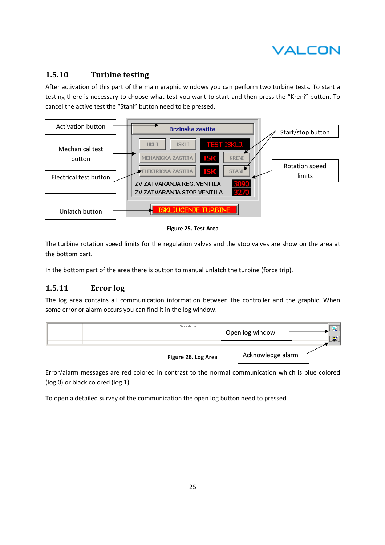

## **1.5.10 Turbine testing**

After activation of this part of the main graphic windows you can perform two turbine tests. To start a testing there is necessary to choose what test you want to start and then press the "Kreni" button. To cancel the active test the "Stani" button need to be pressed.



**Figure 25. Test Area** 

The turbine rotation speed limits for the regulation valves and the stop valves are show on the area at the bottom part.

In the bottom part of the area there is button to manual unlatch the turbine (force trip).

## **1.5.11 Error log**

The log area contains all communication information between the controller and the graphic. When some error or alarm occurs you can find it in the log window.



Error/alarm messages are red colored in contrast to the normal communication which is blue colored (log 0) or black colored (log 1).

To open a detailed survey of the communication the open log button need to pressed.